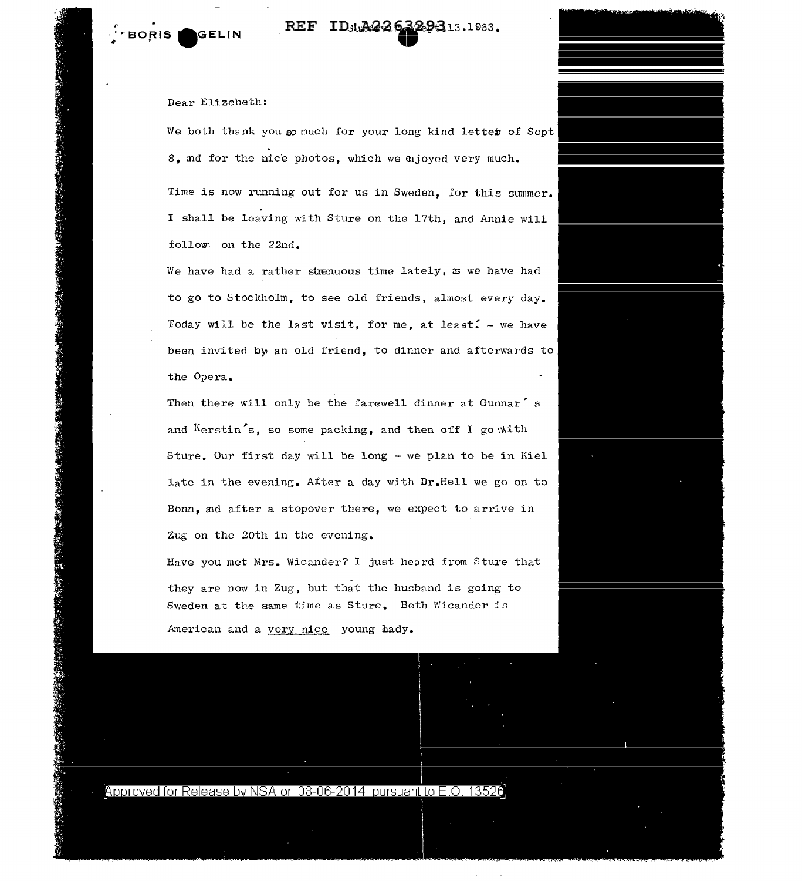地球地

SAND TO A REAL PROPERTY AND THE CAND OF

REF ID<sub>3u</sub>A226329313.1963.

Dear Elizebeth:

We both thank you so much for your long kind letter of Sopt 8, ad for the nice photos, which we mjoyed very much.

Time is now running out for us in Sweden, for this summer. I shall be leaving with Sture on the 17th, and Annie will follow· on the 22nd.

We have had a rather strenuous time lately,  $x = E + E$ to go to Stockholm, to see old friends, almost every day. Today will be the last visit, for me, at least. - we have been invited by an old friend, to dinner and afterwards to the Opera.

Then there will only be the farewell dinner at Gunnar's and  $Kerstin's$ , so some packing, and then off I go with Sture. Our first day will be long - we plan to be in Kiel late in the evening. After a day with Dr.Hell we go on to Bonn, ad after a stopover there, we expect to arrive in Zug on the 20th in the evening.

Have you met Mrs. Wicander? I just heard from Sture that they are now in Zug, but that the husband is going to Sweden at the same time as Sture. Beth Wicander is American and a very nice young hady.

Approved for Release by NSA on 08-06-2014 pursuant to E.O. 13526